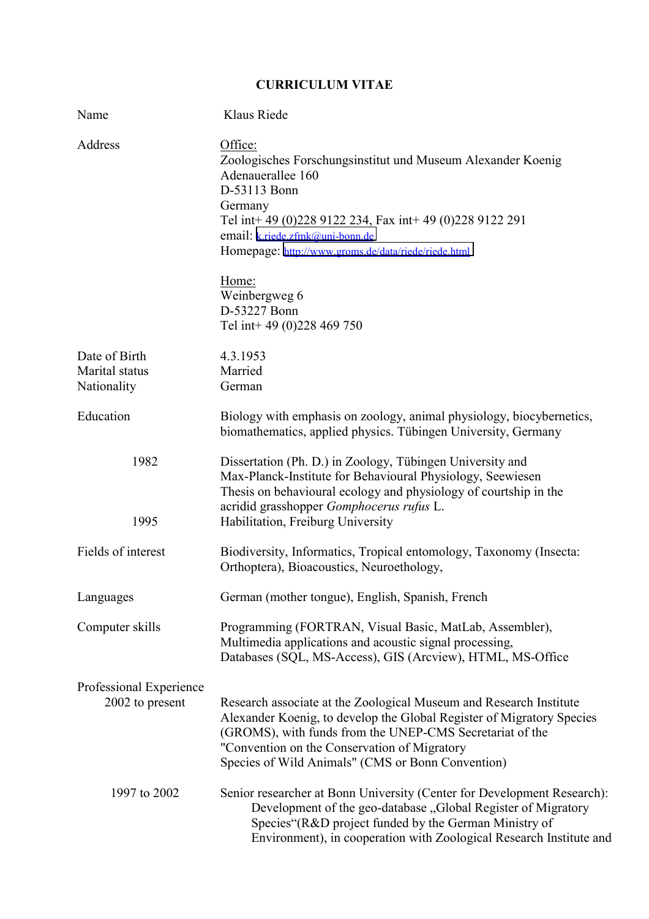## **CURRICULUM VITAE**

| Name                                       | Klaus Riede                                                                                                                                                                                                                                                                                                                                       |
|--------------------------------------------|---------------------------------------------------------------------------------------------------------------------------------------------------------------------------------------------------------------------------------------------------------------------------------------------------------------------------------------------------|
| Address                                    | Office:<br>Zoologisches Forschungsinstitut und Museum Alexander Koenig<br>Adenauerallee 160<br>D-53113 Bonn<br>Germany<br>Tel int+49 (0)228 9122 234, Fax int+49 (0)228 9122 291<br>email: k.riede.zfmk@uni-bonn.de<br>Homepage: http://www.groms.de/data/riede/riede.html<br>Home:<br>Weinbergweg 6<br>D-53227 Bonn<br>Tel int+49 (0)228 469 750 |
| Date of Birth                              | 4.3.1953                                                                                                                                                                                                                                                                                                                                          |
| Marital status                             | Married                                                                                                                                                                                                                                                                                                                                           |
| Nationality                                | German                                                                                                                                                                                                                                                                                                                                            |
| Education                                  | Biology with emphasis on zoology, animal physiology, biocybernetics,<br>biomathematics, applied physics. Tübingen University, Germany                                                                                                                                                                                                             |
| 1982<br>1995                               | Dissertation (Ph. D.) in Zoology, Tübingen University and<br>Max-Planck-Institute for Behavioural Physiology, Seewiesen<br>Thesis on behavioural ecology and physiology of courtship in the<br>acridid grasshopper Gomphocerus rufus L.<br>Habilitation, Freiburg University                                                                      |
| Fields of interest                         | Biodiversity, Informatics, Tropical entomology, Taxonomy (Insecta:<br>Orthoptera), Bioacoustics, Neuroethology,                                                                                                                                                                                                                                   |
| Languages                                  | German (mother tongue), English, Spanish, French                                                                                                                                                                                                                                                                                                  |
| Computer skills                            | Programming (FORTRAN, Visual Basic, MatLab, Assembler),<br>Multimedia applications and acoustic signal processing,<br>Databases (SQL, MS-Access), GIS (Arcview), HTML, MS-Office                                                                                                                                                                  |
| Professional Experience<br>2002 to present | Research associate at the Zoological Museum and Research Institute<br>Alexander Koenig, to develop the Global Register of Migratory Species<br>(GROMS), with funds from the UNEP-CMS Secretariat of the<br>"Convention on the Conservation of Migratory<br>Species of Wild Animals" (CMS or Bonn Convention)                                      |
| 1997 to 2002                               | Senior researcher at Bonn University (Center for Development Research):<br>Development of the geo-database, Global Register of Migratory<br>Species"(R&D project funded by the German Ministry of<br>Environment), in cooperation with Zoological Research Institute and                                                                          |